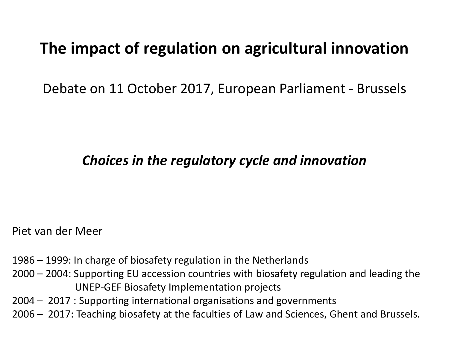#### **The impact of regulation on agricultural innovation**

Debate on 11 October 2017, European Parliament - Brussels

#### *Choices in the regulatory cycle and innovation*

Piet van der Meer

- 1986 1999: In charge of biosafety regulation in the Netherlands
- 2000 2004: Supporting EU accession countries with biosafety regulation and leading the UNEP-GEF Biosafety Implementation projects
- 2004 2017 : Supporting international organisations and governments
- 2006 2017: Teaching biosafety at the faculties of Law and Sciences, Ghent and Brussels.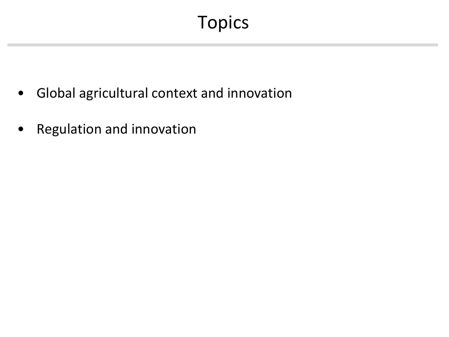## Topics

- Global agricultural context and innovation
- Regulation and innovation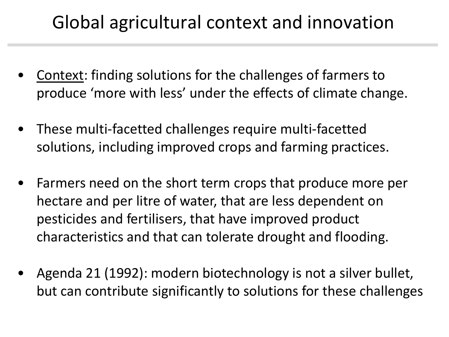## Global agricultural context and innovation

- Context: finding solutions for the challenges of farmers to produce 'more with less' under the effects of climate change.
- These multi-facetted challenges require multi-facetted solutions, including improved crops and farming practices.
- Farmers need on the short term crops that produce more per hectare and per litre of water, that are less dependent on pesticides and fertilisers, that have improved product characteristics and that can tolerate drought and flooding.
- Agenda 21 (1992): modern biotechnology is not a silver bullet, but can contribute significantly to solutions for these challenges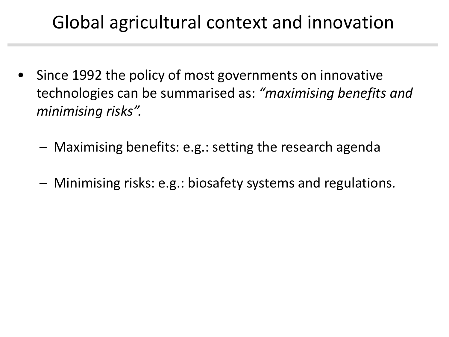## Global agricultural context and innovation

- Since 1992 the policy of most governments on innovative technologies can be summarised as: *"maximising benefits and minimising risks".*
	- Maximising benefits: e.g.: setting the research agenda
	- Minimising risks: e.g.: biosafety systems and regulations.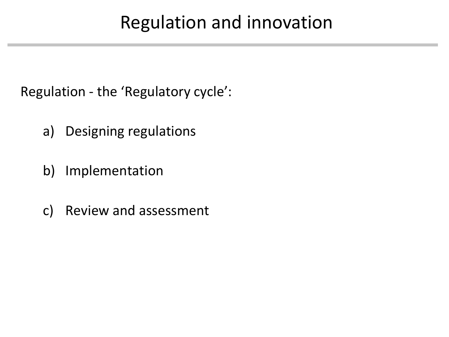Regulation - the 'Regulatory cycle':

- a) Designing regulations
- b) Implementation
- c) Review and assessment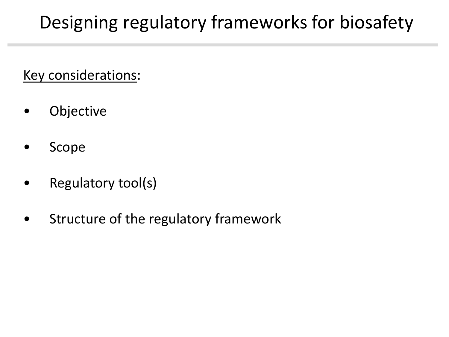# Designing regulatory frameworks for biosafety

Key considerations:

- Objective
- Scope
- Regulatory tool(s)
- Structure of the regulatory framework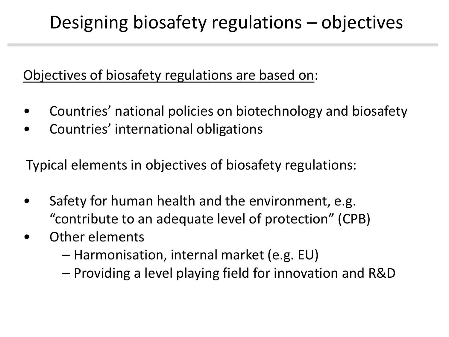## Designing biosafety regulations – objectives

#### Objectives of biosafety regulations are based on:

- Countries' national policies on biotechnology and biosafety
- Countries' international obligations

Typical elements in objectives of biosafety regulations:

- Safety for human health and the environment, e.g. "contribute to an adequate level of protection" (CPB)
- Other elements
	- Harmonisation, internal market (e.g. EU)
	- Providing a level playing field for innovation and R&D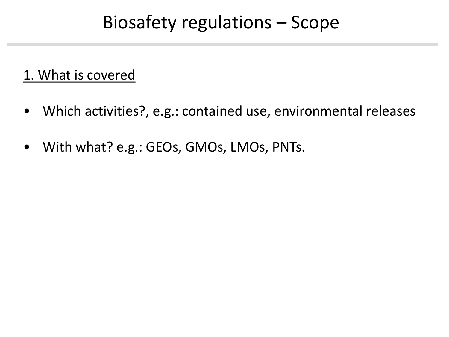#### Biosafety regulations – Scope

#### 1. What is covered

- Which activities?, e.g.: contained use, environmental releases
- With what? e.g.: GEOs, GMOs, LMOs, PNTs.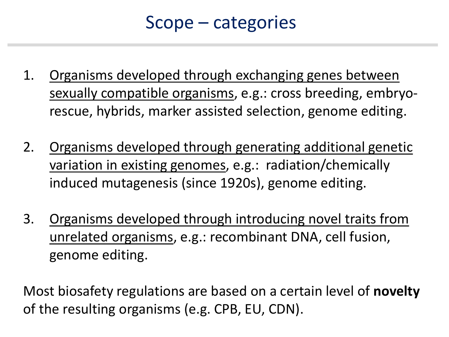#### Scope – categories

- 1. Organisms developed through exchanging genes between sexually compatible organisms, e.g.: cross breeding, embryorescue, hybrids, marker assisted selection, genome editing.
- 2. Organisms developed through generating additional genetic variation in existing genomes, e.g.: radiation/chemically induced mutagenesis (since 1920s), genome editing.
- 3. Organisms developed through introducing novel traits from unrelated organisms, e.g.: recombinant DNA, cell fusion, genome editing.

Most biosafety regulations are based on a certain level of **novelty** of the resulting organisms (e.g. CPB, EU, CDN).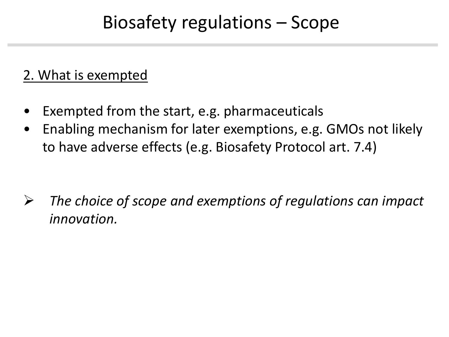### Biosafety regulations – Scope

#### 2. What is exempted

- Exempted from the start, e.g. pharmaceuticals
- Enabling mechanism for later exemptions, e.g. GMOs not likely to have adverse effects (e.g. Biosafety Protocol art. 7.4)

 *The choice of scope and exemptions of regulations can impact innovation.*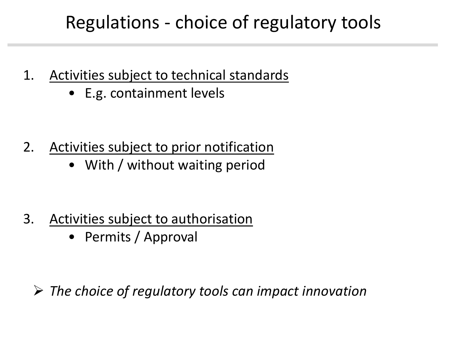## Regulations - choice of regulatory tools

- 1. Activities subject to technical standards
	- E.g. containment levels

- 2. Activities subject to prior notification
	- With / without waiting period

- 3. Activities subject to authorisation
	- Permits / Approval

*The choice of regulatory tools can impact innovation*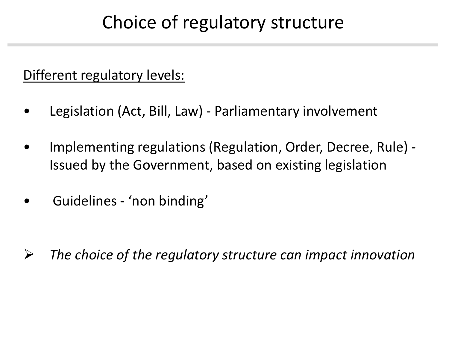#### Choice of regulatory structure

#### Different regulatory levels:

- Legislation (Act, Bill, Law) Parliamentary involvement
- Implementing regulations (Regulation, Order, Decree, Rule) Issued by the Government, based on existing legislation
- Guidelines 'non binding'

*The choice of the regulatory structure can impact innovation*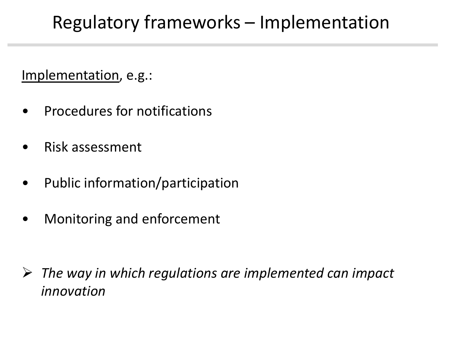## Regulatory frameworks – Implementation

Implementation, e.g.:

- Procedures for notifications
- Risk assessment
- Public information/participation
- Monitoring and enforcement

 *The way in which regulations are implemented can impact innovation*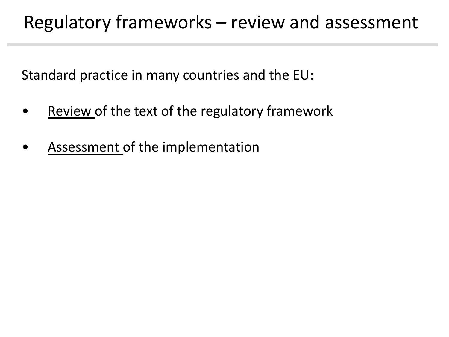#### Regulatory frameworks – review and assessment

Standard practice in many countries and the EU:

- Review of the text of the regulatory framework
- Assessment of the implementation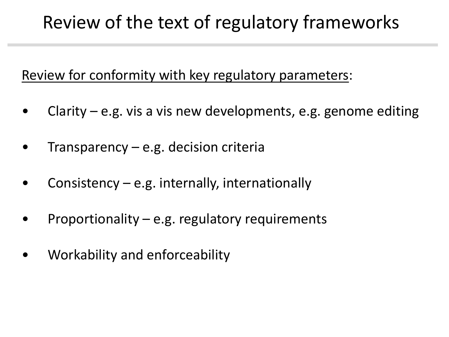#### Review of the text of regulatory frameworks

Review for conformity with key regulatory parameters:

- Clarity e.g. vis a vis new developments, e.g. genome editing
- Transparency  $-e.g.$  decision criteria
- Consistency  $-e.g.$  internally, internationally
- Proportionality e.g. regulatory requirements
- Workability and enforceability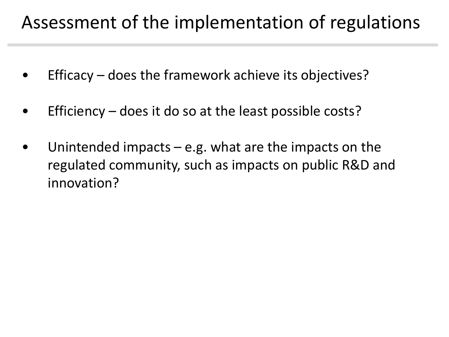#### Assessment of the implementation of regulations

- Efficacy does the framework achieve its objectives?
- Efficiency does it do so at the least possible costs?
- Unintended impacts e.g. what are the impacts on the regulated community, such as impacts on public R&D and innovation?